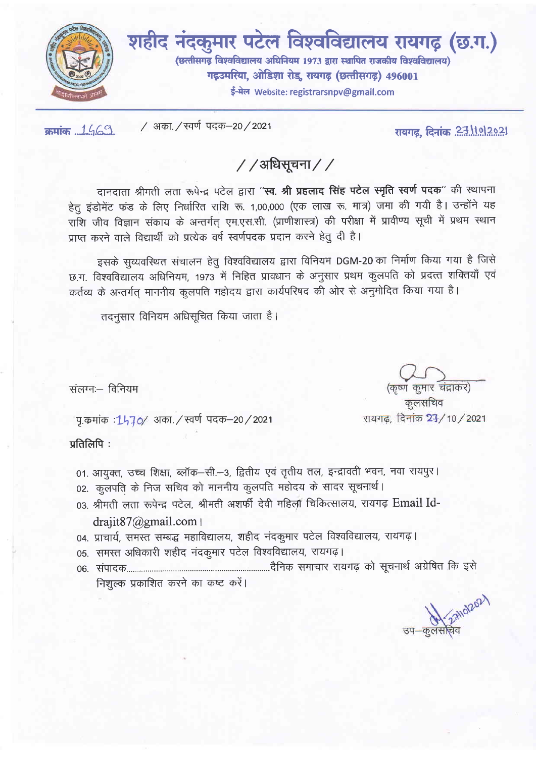

शहीद नंदकुमार पटेल विश्वविद्यालय रायगढ़ (छ.ग.) (छत्तीसगढ़ विश्वविद्यालय अधिनियम 1973 द्वारा स्थापित राजकीय विश्वविद्यालय) गढ़उमरिया, ओडिशा रोड, रायगढ़ (छत्तीसगढ़) 496001

ई-मेल Website: registrarsnpv@gmail.com

क्रमांक ... 1.469.

/ अका. / स्वर्ण पदक-20 / 2021

रायगढ़, दिनांक 23/10/2021

/ /अधिसूचना / /

दानदाता श्रीमती लता रूपेन्द्र पटेल द्वारा "**स्व. श्री प्रहलाद सिंह पटेल स्मृति स्वर्ण पदक**" की स्थापना हेतू इंडोमेंट फंड के लिए निर्धारित राशि रू. 1,00,000 (एक लाख रू. मात्र) जमा की गयी है। उन्होंने यह राशि जीव विज्ञान संकाय के अन्तर्गत् एम.एस.सी. (प्राणीशास्त्र) की परीक्षा में प्रावीण्य सूची में प्रथम स्थान प्राप्त करने वाले विद्यार्थी को प्रत्येक वर्ष स्वर्णपदक प्रदान करने हेतु दी है।

इसके सुव्यवस्थित संचालन हेतु विश्वविद्यालय द्वारा विनियम DGM-20 का निर्माण किया गया है जिसे छ.ग. विश्वविद्यालय अधिनियम, 1973 में निहित प्रावधान के अनुसार प्रथम कुलपति को प्रदत्त शक्तियाँ एवं कर्तव्य के अन्तर्गत् माननीय कुलपति महोदय द्वारा कार्यपरिषद की ओर से अनुमोदित किया गया है।

तदनसार विनियम अधिसूचित किया जाता है।

संलग्नः- विनियम

पु.कमांक : 1470/ अका. / स्वर्ण पदक–20 / 2021

प्रतिलिपि:

- 01. आयुक्त, उच्च शिक्षा, ब्लॉक-सी.-3, द्वितीय एवं तृतीय तल, इन्द्रावती भवन, नवा रायपुर।
- 02. कुलपति के निज सचिव को माननीय कुलपति महोदय के सादर सूचनार्थ।
- 03. श्रीमती लता रूपेन्द्र पटेल. श्रीमती अशर्फी देवी महिला चिकित्सालय, रायगढ़ Email Iddrajit87@gmail.com |
- 04. प्राचार्य, समस्त सम्बद्ध महाविद्यालय, शहीद नंदकुमार पटेल विश्वविद्यालय, रायगढ़।
- 05. समस्त अधिकारी शहीद नंदकुमार पटेल विश्वविद्यालय, रायगढ़।
- निशुल्क प्रकाशित करने का कष्ट करें।

Allol202 <u>उप–कलसो</u>चे

(कृष्ण कुमार चंद्राकर)

कुलसचिव रायगढ, दिनांक 2<del>3</del>/10/2021